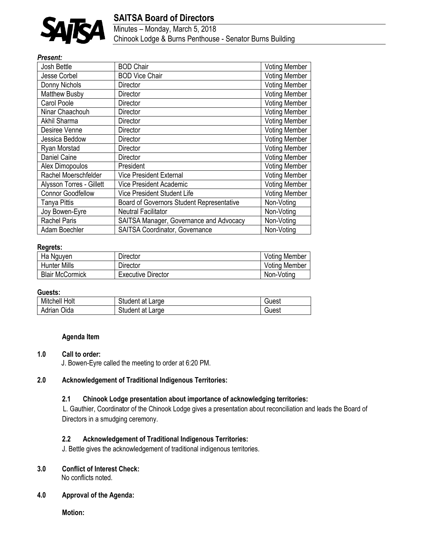

# **SAITSA Board of Directors**

Minutes – Monday, March 5, 2018 Chinook Lodge & Burns Penthouse - Senator Burns Building

## *Present:*

| Josh Bettle              | <b>BOD Chair</b>                          | <b>Voting Member</b> |
|--------------------------|-------------------------------------------|----------------------|
| Jesse Corbel             | <b>BOD Vice Chair</b>                     | <b>Voting Member</b> |
| Donny Nichols            | <b>Director</b>                           | <b>Voting Member</b> |
| <b>Matthew Busby</b>     | Director                                  | <b>Voting Member</b> |
| Carol Poole              | Director                                  | <b>Voting Member</b> |
| Ninar Chaachouh          | Director                                  | <b>Voting Member</b> |
| Akhil Sharma             | Director                                  | <b>Voting Member</b> |
| Desiree Venne            | Director                                  | <b>Voting Member</b> |
| Jessica Beddow           | Director                                  | <b>Voting Member</b> |
| Ryan Morstad             | <b>Director</b>                           | <b>Voting Member</b> |
| <b>Daniel Caine</b>      | <b>Director</b>                           | <b>Voting Member</b> |
| Alex Dimopoulos          | President                                 | <b>Voting Member</b> |
| Rachel Moerschfelder     | <b>Vice President External</b>            | <b>Voting Member</b> |
| Alysson Torres - Gillett | <b>Vice President Academic</b>            | <b>Voting Member</b> |
| <b>Connor Goodfellow</b> | <b>Vice President Student Life</b>        | <b>Voting Member</b> |
| Tanya Pittis             | Board of Governors Student Representative | Non-Voting           |
| Joy Bowen-Eyre           | <b>Neutral Facilitator</b>                | Non-Voting           |
| <b>Rachel Paris</b>      | SAITSA Manager, Governance and Advocacy   | Non-Voting           |
| Adam Boechler            | SAITSA Coordinator, Governance            | Non-Voting           |

## **Regrets:**

| Ha Nguyen              | Director                  | <b>Voting Member</b> |
|------------------------|---------------------------|----------------------|
| Hunter Mills           | Director                  | <b>Voting Member</b> |
| <b>Blair McCormick</b> | <b>Executive Director</b> | Non-Voting           |

# **Guests:**

| <b>Mitchell Holt</b> | Student at Large | Guest |
|----------------------|------------------|-------|
| Oida<br>Adrian       | Student at Large | Guest |

## **Agenda Item**

# **1.0 Call to order:**

J. Bowen-Eyre called the meeting to order at 6:20 PM.

# **2.0 Acknowledgement of Traditional Indigenous Territories:**

## **2.1 Chinook Lodge presentation about importance of acknowledging territories:**

 L. Gauthier, Coordinator of the Chinook Lodge gives a presentation about reconciliation and leads the Board of Directors in a smudging ceremony.

## **2.2 Acknowledgement of Traditional Indigenous Territories:**

J. Bettle gives the acknowledgement of traditional indigenous territories.

**3.0 Conflict of Interest Check:**

No conflicts noted.

## **4.0 Approval of the Agenda:**

**Motion:**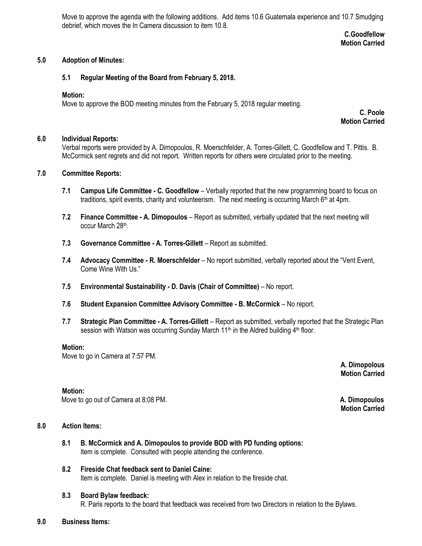Move to approve the agenda with the following additions. Add items 10.6 Guatemala experience and 10.7 Smudging debrief, which moves the In Camera discussion to item 10.8.

> **C.Goodfellow Motion Carried**

## **5.0 Adoption of Minutes:**

# **5.1 Regular Meeting of the Board from February 5, 2018.**

## **Motion:**

Move to approve the BOD meeting minutes from the February 5, 2018 regular meeting.

**C. Poole Motion Carried**

## **6.0 Individual Reports:**

Verbal reports were provided by A. Dimopoulos, R. Moerschfelder, A. Torres-Gillett, C. Goodfellow and T. Pittis. B. McCormick sent regrets and did not report. Written reports for others were circulated prior to the meeting.

## **7.0 Committee Reports:**

- **7.1 Campus Life Committee - C. Goodfellow** Verbally reported that the new programming board to focus on traditions, spirit events, charity and volunteerism. The next meeting is occurring March 6<sup>th</sup> at 4pm.
- **7.2 Finance Committee - A. Dimopoulos** Report as submitted, verbally updated that the next meeting will occur March 28<sup>th</sup>.
- **7.3 Governance Committee - A. Torres-Gillett**  Report as submitted.
- **7.4 Advocacy Committee - R. Moerschfelder** No report submitted, verbally reported about the "Vent Event, Come Wine With Us."
- **7.5 Environmental Sustainability - D. Davis (Chair of Committee)**  No report.
- **7.6 Student Expansion Committee Advisory Committee - B. McCormick** No report.
- **7.7 Strategic Plan Committee - A. Torres-Gillett** Report as submitted, verbally reported that the Strategic Plan session with Watson was occurring Sunday March 11<sup>th</sup> in the Aldred building 4<sup>th</sup> floor.

#### **Motion:**

Move to go in Camera at 7:57 PM.

**A. Dimopolous Motion Carried**

**Motion Carried**

**Motion:**

Move to go out of Camera at 8:08 PM. **A. Dimopoulos**

## **8.0 Action Items:**

- **8.1 B. McCormick and A. Dimopoulos to provide BOD with PD funding options:** Item is complete. Consulted with people attending the conference.
- **8.2 Fireside Chat feedback sent to Daniel Caine:** Item is complete. Daniel is meeting with Alex in relation to the fireside chat.

#### **8.3 Board Bylaw feedback:**

R. Paris reports to the board that feedback was received from two Directors in relation to the Bylaws.

**9.0 Business Items:**